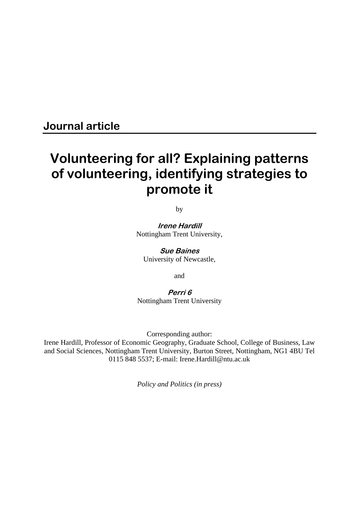# **Journal article**

# **Volunteering for all? Explaining patterns of volunteering, identifying strategies to promote it**

by

**Irene Hardill**  Nottingham Trent University,

**Sue Baines**  University of Newcastle,

and

**Perri 6**  Nottingham Trent University

Corresponding author:

Irene Hardill, Professor of Economic Geography, Graduate School, College of Business, Law and Social Sciences, Nottingham Trent University, Burton Street, Nottingham, NG1 4BU Tel 0115 848 5537; E-mail: Irene.Hardill@ntu.ac.uk

*Policy and Politics (in press)*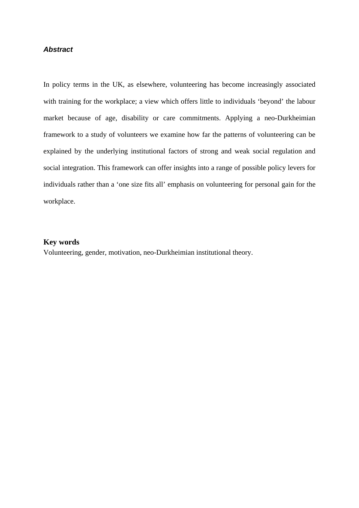# *Abstract*

In policy terms in the UK, as elsewhere, volunteering has become increasingly associated with training for the workplace; a view which offers little to individuals 'beyond' the labour market because of age, disability or care commitments. Applying a neo-Durkheimian framework to a study of volunteers we examine how far the patterns of volunteering can be explained by the underlying institutional factors of strong and weak social regulation and social integration. This framework can offer insights into a range of possible policy levers for individuals rather than a 'one size fits all' emphasis on volunteering for personal gain for the workplace.

# **Key words**

Volunteering, gender, motivation, neo-Durkheimian institutional theory.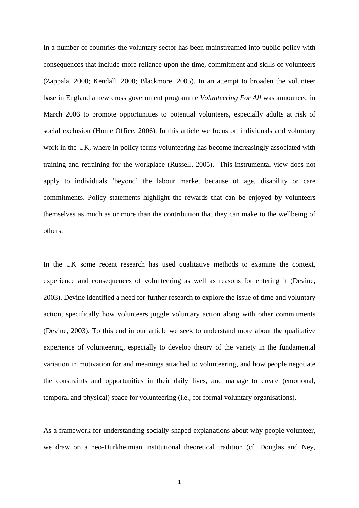In a number of countries the voluntary sector has been mainstreamed into public policy with consequences that include more reliance upon the time, commitment and skills of volunteers (Zappala, 2000; Kendall, 2000; Blackmore, 2005). In an attempt to broaden the volunteer base in England a new cross government programme *Volunteering For All* was announced in March 2006 to promote opportunities to potential volunteers, especially adults at risk of social exclusion (Home Office, 2006). In this article we focus on individuals and voluntary work in the UK, where in policy terms volunteering has become increasingly associated with training and retraining for the workplace (Russell, 2005). This instrumental view does not apply to individuals 'beyond' the labour market because of age, disability or care commitments. Policy statements highlight the rewards that can be enjoyed by volunteers themselves as much as or more than the contribution that they can make to the wellbeing of others.

In the UK some recent research has used qualitative methods to examine the context, experience and consequences of volunteering as well as reasons for entering it (Devine, 2003). Devine identified a need for further research to explore the issue of time and voluntary action, specifically how volunteers juggle voluntary action along with other commitments (Devine, 2003). To this end in our article we seek to understand more about the qualitative experience of volunteering, especially to develop theory of the variety in the fundamental variation in motivation for and meanings attached to volunteering, and how people negotiate the constraints and opportunities in their daily lives, and manage to create (emotional, temporal and physical) space for volunteering (i.e., for formal voluntary organisations).

As a framework for understanding socially shaped explanations about why people volunteer, we draw on a neo-Durkheimian institutional theoretical tradition (cf. Douglas and Ney,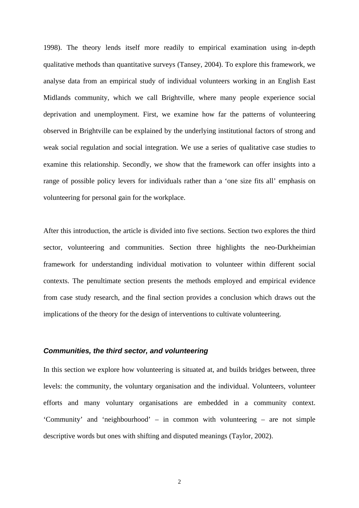1998). The theory lends itself more readily to empirical examination using in-depth qualitative methods than quantitative surveys (Tansey, 2004). To explore this framework, we analyse data from an empirical study of individual volunteers working in an English East Midlands community, which we call Brightville, where many people experience social deprivation and unemployment. First, we examine how far the patterns of volunteering observed in Brightville can be explained by the underlying institutional factors of strong and weak social regulation and social integration. We use a series of qualitative case studies to examine this relationship. Secondly, we show that the framework can offer insights into a range of possible policy levers for individuals rather than a 'one size fits all' emphasis on volunteering for personal gain for the workplace.

After this introduction, the article is divided into five sections. Section two explores the third sector, volunteering and communities. Section three highlights the neo-Durkheimian framework for understanding individual motivation to volunteer within different social contexts. The penultimate section presents the methods employed and empirical evidence from case study research, and the final section provides a conclusion which draws out the implications of the theory for the design of interventions to cultivate volunteering.

#### *Communities, the third sector, and volunteering*

In this section we explore how volunteering is situated at, and builds bridges between, three levels: the community, the voluntary organisation and the individual. Volunteers, volunteer efforts and many voluntary organisations are embedded in a community context. 'Community' and 'neighbourhood' – in common with volunteering – are not simple descriptive words but ones with shifting and disputed meanings (Taylor, 2002).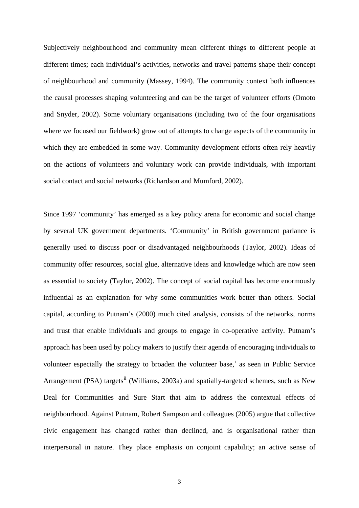Subjectively neighbourhood and community mean different things to different people at different times; each individual's activities, networks and travel patterns shape their concept of neighbourhood and community (Massey, 1994). The community context both influences the causal processes shaping volunteering and can be the target of volunteer efforts (Omoto and Snyder, 2002). Some voluntary organisations (including two of the four organisations where we focused our fieldwork) grow out of attempts to change aspects of the community in which they are embedded in some way. Community development efforts often rely heavily on the actions of volunteers and voluntary work can provide individuals, with important social contact and social networks (Richardson and Mumford, 2002).

Since 1997 'community' has emerged as a key policy arena for economic and social change by several UK government departments. 'Community' in British government parlance is generally used to discuss poor or disadvantaged neighbourhoods (Taylor, 2002). Ideas of community offer resources, social glue, alternative ideas and knowledge which are now seen as essential to society (Taylor, 2002). The concept of social capital has become enormously influential as an explanation for why some communities work better than others. Social capital, according to Putnam's (2000) much cited analysis, consists of the networks, norms and trust that enable individuals and groups to engage in co-operative activity. Putnam's approach has been used by policy makers to justify their agenda of encouraging individuals to volunteer espec[i](#page-30-0)ally the strategy to broaden the volunteer base,<sup>i</sup> as seen in Public Service Arrangement (PSA) targets<sup>[ii](#page-30-1)</sup> (Williams, 2003a) and spatially-targeted schemes, such as New Deal for Communities and Sure Start that aim to address the contextual effects of neighbourhood. Against Putnam, Robert Sampson and colleagues (2005) argue that collective civic engagement has changed rather than declined, and is organisational rather than interpersonal in nature. They place emphasis on conjoint capability; an active sense of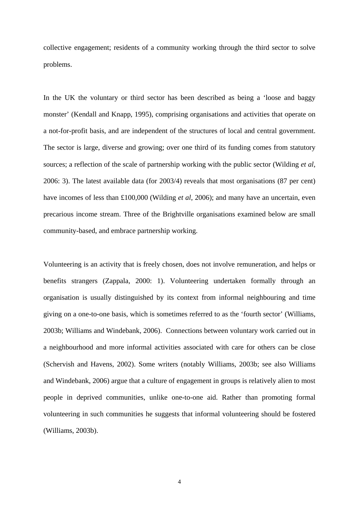collective engagement; residents of a community working through the third sector to solve problems.

In the UK the voluntary or third sector has been described as being a 'loose and baggy monster' (Kendall and Knapp, 1995), comprising organisations and activities that operate on a not-for-profit basis, and are independent of the structures of local and central government. The sector is large, diverse and growing; over one third of its funding comes from statutory sources; a reflection of the scale of partnership working with the public sector (Wilding *et al*, 2006: 3). The latest available data (for 2003/4) reveals that most organisations (87 per cent) have incomes of less than £100,000 (Wilding *et al*, 2006); and many have an uncertain, even precarious income stream. Three of the Brightville organisations examined below are small community-based, and embrace partnership working.

Volunteering is an activity that is freely chosen, does not involve remuneration, and helps or benefits strangers (Zappala, 2000: 1). Volunteering undertaken formally through an organisation is usually distinguished by its context from informal neighbouring and time giving on a one-to-one basis, which is sometimes referred to as the 'fourth sector' (Williams, 2003b; Williams and Windebank, 2006). Connections between voluntary work carried out in a neighbourhood and more informal activities associated with care for others can be close (Schervish and Havens, 2002). Some writers (notably Williams, 2003b; see also Williams and Windebank, 2006) argue that a culture of engagement in groups is relatively alien to most people in deprived communities, unlike one-to-one aid. Rather than promoting formal volunteering in such communities he suggests that informal volunteering should be fostered (Williams, 2003b).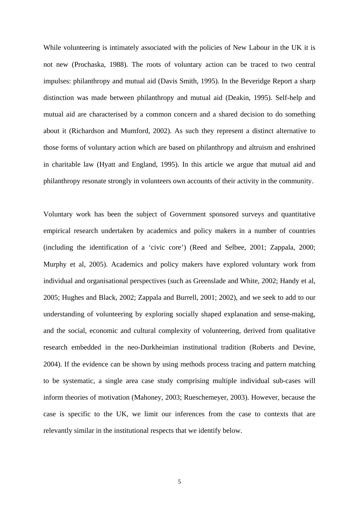While volunteering is intimately associated with the policies of New Labour in the UK it is not new (Prochaska, 1988). The roots of voluntary action can be traced to two central impulses: philanthropy and mutual aid (Davis Smith, 1995). In the Beveridge Report a sharp distinction was made between philanthropy and mutual aid (Deakin, 1995). Self-help and mutual aid are characterised by a common concern and a shared decision to do something about it (Richardson and Mumford, 2002). As such they represent a distinct alternative to those forms of voluntary action which are based on philanthropy and altruism and enshrined in charitable law (Hyatt and England, 1995). In this article we argue that mutual aid and philanthropy resonate strongly in volunteers own accounts of their activity in the community.

Voluntary work has been the subject of Government sponsored surveys and quantitative empirical research undertaken by academics and policy makers in a number of countries (including the identification of a 'civic core') (Reed and Selbee, 2001; Zappala, 2000; Murphy et al, 2005). Academics and policy makers have explored voluntary work from individual and organisational perspectives (such as Greenslade and White, 2002; Handy et al, 2005; Hughes and Black, 2002; Zappala and Burrell, 2001; 2002), and we seek to add to our understanding of volunteering by exploring socially shaped explanation and sense-making, and the social, economic and cultural complexity of volunteering, derived from qualitative research embedded in the neo-Durkheimian institutional tradition (Roberts and Devine, 2004). If the evidence can be shown by using methods process tracing and pattern matching to be systematic, a single area case study comprising multiple individual sub-cases will inform theories of motivation (Mahoney, 2003; Rueschemeyer, 2003). However, because the case is specific to the UK, we limit our inferences from the case to contexts that are relevantly similar in the institutional respects that we identify below.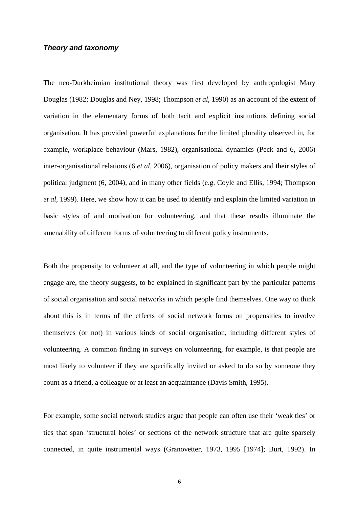#### *Theory and taxonomy*

The neo-Durkheimian institutional theory was first developed by anthropologist Mary Douglas (1982; Douglas and Ney, 1998; Thompson *et al*, 1990) as an account of the extent of variation in the elementary forms of both tacit and explicit institutions defining social organisation. It has provided powerful explanations for the limited plurality observed in, for example, workplace behaviour (Mars, 1982), organisational dynamics (Peck and 6, 2006) inter-organisational relations (6 *et al*, 2006), organisation of policy makers and their styles of political judgment (6, 2004), and in many other fields (e.g. Coyle and Ellis, 1994; Thompson *et al*, 1999). Here, we show how it can be used to identify and explain the limited variation in basic styles of and motivation for volunteering, and that these results illuminate the amenability of different forms of volunteering to different policy instruments.

Both the propensity to volunteer at all, and the type of volunteering in which people might engage are, the theory suggests, to be explained in significant part by the particular patterns of social organisation and social networks in which people find themselves. One way to think about this is in terms of the effects of social network forms on propensities to involve themselves (or not) in various kinds of social organisation, including different styles of volunteering. A common finding in surveys on volunteering, for example, is that people are most likely to volunteer if they are specifically invited or asked to do so by someone they count as a friend, a colleague or at least an acquaintance (Davis Smith, 1995).

For example, some social network studies argue that people can often use their 'weak ties' or ties that span 'structural holes' or sections of the network structure that are quite sparsely connected, in quite instrumental ways (Granovetter, 1973, 1995 [1974]; Burt, 1992). In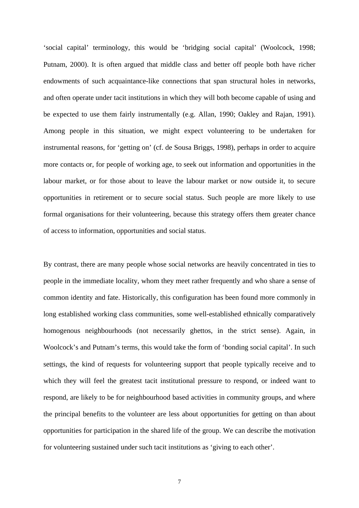'social capital' terminology, this would be 'bridging social capital' (Woolcock, 1998; Putnam, 2000). It is often argued that middle class and better off people both have richer endowments of such acquaintance-like connections that span structural holes in networks, and often operate under tacit institutions in which they will both become capable of using and be expected to use them fairly instrumentally (e.g. Allan, 1990; Oakley and Rajan, 1991). Among people in this situation, we might expect volunteering to be undertaken for instrumental reasons, for 'getting on' (cf. de Sousa Briggs, 1998), perhaps in order to acquire more contacts or, for people of working age, to seek out information and opportunities in the labour market, or for those about to leave the labour market or now outside it, to secure opportunities in retirement or to secure social status. Such people are more likely to use formal organisations for their volunteering, because this strategy offers them greater chance of access to information, opportunities and social status.

By contrast, there are many people whose social networks are heavily concentrated in ties to people in the immediate locality, whom they meet rather frequently and who share a sense of common identity and fate. Historically, this configuration has been found more commonly in long established working class communities, some well-established ethnically comparatively homogenous neighbourhoods (not necessarily ghettos, in the strict sense). Again, in Woolcock's and Putnam's terms, this would take the form of 'bonding social capital'. In such settings, the kind of requests for volunteering support that people typically receive and to which they will feel the greatest tacit institutional pressure to respond, or indeed want to respond, are likely to be for neighbourhood based activities in community groups, and where the principal benefits to the volunteer are less about opportunities for getting on than about opportunities for participation in the shared life of the group. We can describe the motivation for volunteering sustained under such tacit institutions as 'giving to each other'.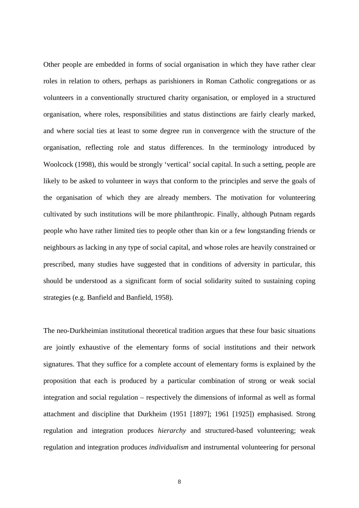Other people are embedded in forms of social organisation in which they have rather clear roles in relation to others, perhaps as parishioners in Roman Catholic congregations or as volunteers in a conventionally structured charity organisation, or employed in a structured organisation, where roles, responsibilities and status distinctions are fairly clearly marked, and where social ties at least to some degree run in convergence with the structure of the organisation, reflecting role and status differences. In the terminology introduced by Woolcock (1998), this would be strongly 'vertical' social capital. In such a setting, people are likely to be asked to volunteer in ways that conform to the principles and serve the goals of the organisation of which they are already members. The motivation for volunteering cultivated by such institutions will be more philanthropic. Finally, although Putnam regards people who have rather limited ties to people other than kin or a few longstanding friends or neighbours as lacking in any type of social capital, and whose roles are heavily constrained or prescribed, many studies have suggested that in conditions of adversity in particular, this should be understood as a significant form of social solidarity suited to sustaining coping strategies (e.g. Banfield and Banfield, 1958).

The neo-Durkheimian institutional theoretical tradition argues that these four basic situations are jointly exhaustive of the elementary forms of social institutions and their network signatures. That they suffice for a complete account of elementary forms is explained by the proposition that each is produced by a particular combination of strong or weak social integration and social regulation – respectively the dimensions of informal as well as formal attachment and discipline that Durkheim (1951 [1897]; 1961 [1925]) emphasised. Strong regulation and integration produces *hierarchy* and structured-based volunteering; weak regulation and integration produces *individualism* and instrumental volunteering for personal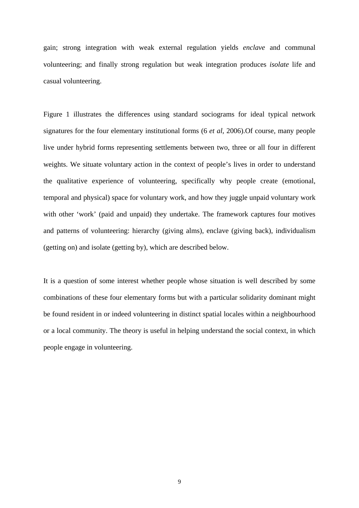gain; strong integration with weak external regulation yields *enclave* and communal volunteering; and finally strong regulation but weak integration produces *isolate* life and casual volunteering.

Figure 1 illustrates the differences using standard sociograms for ideal typical network signatures for the four elementary institutional forms (6 *et al*, 2006).Of course, many people live under hybrid forms representing settlements between two, three or all four in different weights. We situate voluntary action in the context of people's lives in order to understand the qualitative experience of volunteering, specifically why people create (emotional, temporal and physical) space for voluntary work, and how they juggle unpaid voluntary work with other 'work' (paid and unpaid) they undertake. The framework captures four motives and patterns of volunteering: hierarchy (giving alms), enclave (giving back), individualism (getting on) and isolate (getting by), which are described below.

It is a question of some interest whether people whose situation is well described by some combinations of these four elementary forms but with a particular solidarity dominant might be found resident in or indeed volunteering in distinct spatial locales within a neighbourhood or a local community. The theory is useful in helping understand the social context, in which people engage in volunteering.

9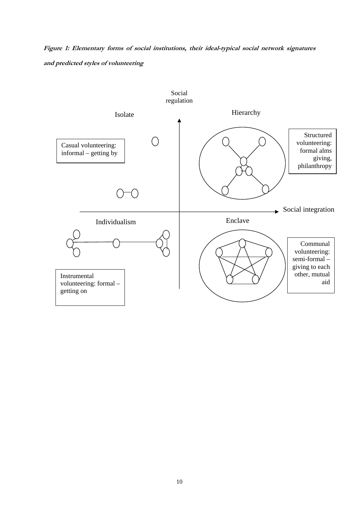**Figure 1: Elementary forms of social institutions, their ideal-typical social network signatures and predicted styles of volunteering** 

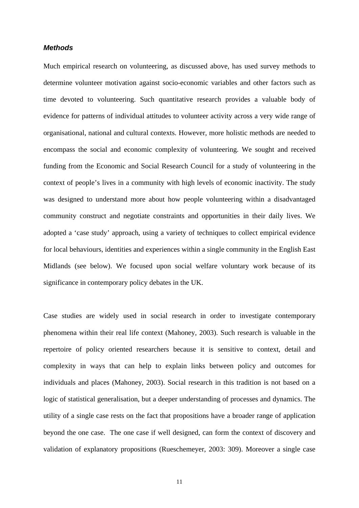#### *Methods*

Much empirical research on volunteering, as discussed above, has used survey methods to determine volunteer motivation against socio-economic variables and other factors such as time devoted to volunteering. Such quantitative research provides a valuable body of evidence for patterns of individual attitudes to volunteer activity across a very wide range of organisational, national and cultural contexts. However, more holistic methods are needed to encompass the social and economic complexity of volunteering. We sought and received funding from the Economic and Social Research Council for a study of volunteering in the context of people's lives in a community with high levels of economic inactivity. The study was designed to understand more about how people volunteering within a disadvantaged community construct and negotiate constraints and opportunities in their daily lives. We adopted a 'case study' approach, using a variety of techniques to collect empirical evidence for local behaviours, identities and experiences within a single community in the English East Midlands (see below). We focused upon social welfare voluntary work because of its significance in contemporary policy debates in the UK.

Case studies are widely used in social research in order to investigate contemporary phenomena within their real life context (Mahoney, 2003). Such research is valuable in the repertoire of policy oriented researchers because it is sensitive to context, detail and complexity in ways that can help to explain links between policy and outcomes for individuals and places (Mahoney, 2003). Social research in this tradition is not based on a logic of statistical generalisation, but a deeper understanding of processes and dynamics. The utility of a single case rests on the fact that propositions have a broader range of application beyond the one case. The one case if well designed, can form the context of discovery and validation of explanatory propositions (Rueschemeyer, 2003: 309). Moreover a single case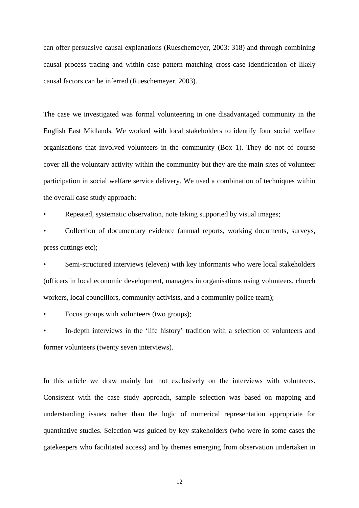can offer persuasive causal explanations (Rueschemeyer, 2003: 318) and through combining causal process tracing and within case pattern matching cross-case identification of likely causal factors can be inferred (Rueschemeyer, 2003).

The case we investigated was formal volunteering in one disadvantaged community in the English East Midlands. We worked with local stakeholders to identify four social welfare organisations that involved volunteers in the community (Box 1). They do not of course cover all the voluntary activity within the community but they are the main sites of volunteer participation in social welfare service delivery. We used a combination of techniques within the overall case study approach:

Repeated, systematic observation, note taking supported by visual images;

• Collection of documentary evidence (annual reports, working documents, surveys, press cuttings etc);

Semi-structured interviews (eleven) with key informants who were local stakeholders (officers in local economic development, managers in organisations using volunteers, church workers, local councillors, community activists, and a community police team);

• Focus groups with volunteers (two groups);

• In-depth interviews in the 'life history' tradition with a selection of volunteers and former volunteers (twenty seven interviews).

In this article we draw mainly but not exclusively on the interviews with volunteers. Consistent with the case study approach, sample selection was based on mapping and understanding issues rather than the logic of numerical representation appropriate for quantitative studies. Selection was guided by key stakeholders (who were in some cases the gatekeepers who facilitated access) and by themes emerging from observation undertaken in

12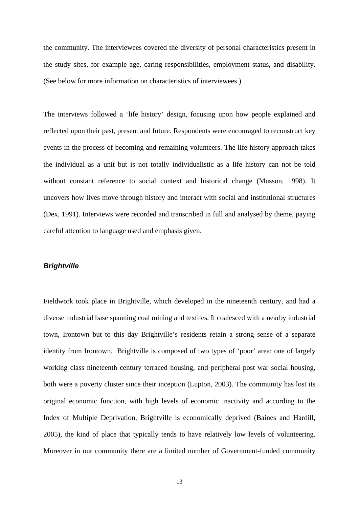the community. The interviewees covered the diversity of personal characteristics present in the study sites, for example age, caring responsibilities, employment status, and disability. (See below for more information on characteristics of interviewees.)

The interviews followed a 'life history' design, focusing upon how people explained and reflected upon their past, present and future. Respondents were encouraged to reconstruct key events in the process of becoming and remaining volunteers. The life history approach takes the individual as a unit but is not totally individualistic as a life history can not be told without constant reference to social context and historical change (Musson, 1998). It uncovers how lives move through history and interact with social and institutional structures (Dex, 1991). Interviews were recorded and transcribed in full and analysed by theme, paying careful attention to language used and emphasis given.

#### *Brightville*

Fieldwork took place in Brightville, which developed in the nineteenth century, and had a diverse industrial base spanning coal mining and textiles. It coalesced with a nearby industrial town, Irontown but to this day Brightville's residents retain a strong sense of a separate identity from Irontown. Brightville is composed of two types of 'poor' area: one of largely working class nineteenth century terraced housing, and peripheral post war social housing, both were a poverty cluster since their inception (Lupton, 2003). The community has lost its original economic function, with high levels of economic inactivity and according to the Index of Multiple Deprivation, Brightville is economically deprived (Baines and Hardill, 2005), the kind of place that typically tends to have relatively low levels of volunteering. Moreover in our community there are a limited number of Government-funded community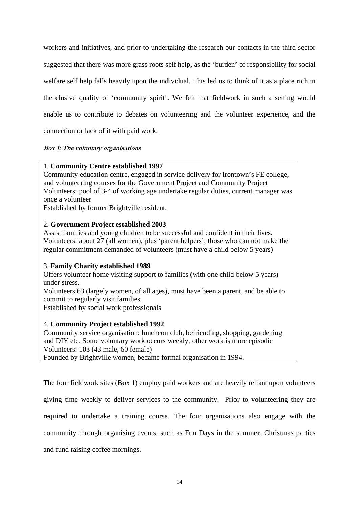workers and initiatives, and prior to undertaking the research our contacts in the third sector suggested that there was more grass roots self help, as the 'burden' of responsibility for social welfare self help falls heavily upon the individual. This led us to think of it as a place rich in the elusive quality of 'community spirit'. We felt that fieldwork in such a setting would enable us to contribute to debates on volunteering and the volunteer experience, and the connection or lack of it with paid work.

# **Box 1: The voluntary organisations**

# 1. **Community Centre established 1997**

Community education centre, engaged in service delivery for Irontown's FE college, and volunteering courses for the Government Project and Community Project Volunteers: pool of 3-4 of working age undertake regular duties, current manager was once a volunteer

Established by former Brightville resident.

# 2. **Government Project established 2003**

Assist families and young children to be successful and confident in their lives. Volunteers: about 27 (all women), plus 'parent helpers', those who can not make the regular commitment demanded of volunteers (must have a child below 5 years)

# 3. **Family Charity established 1989**

Offers volunteer home visiting support to families (with one child below 5 years) under stress.

Volunteers 63 (largely women, of all ages), must have been a parent, and be able to commit to regularly visit families.

Established by social work professionals

# 4. **Community Project established 1992**

Community service organisation: luncheon club, befriending, shopping, gardening and DIY etc. Some voluntary work occurs weekly, other work is more episodic Volunteers: 103 (43 male, 60 female)

Founded by Brightville women, became formal organisation in 1994.

The four fieldwork sites (Box 1) employ paid workers and are heavily reliant upon volunteers giving time weekly to deliver services to the community. Prior to volunteering they are required to undertake a training course. The four organisations also engage with the community through organising events, such as Fun Days in the summer, Christmas parties and fund raising coffee mornings.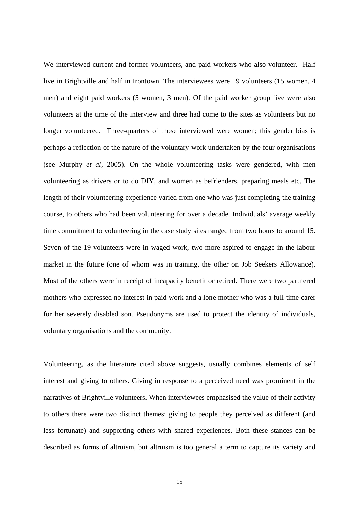We interviewed current and former volunteers, and paid workers who also volunteer. Half live in Brightville and half in Irontown. The interviewees were 19 volunteers (15 women, 4 men) and eight paid workers (5 women, 3 men). Of the paid worker group five were also volunteers at the time of the interview and three had come to the sites as volunteers but no longer volunteered. Three-quarters of those interviewed were women; this gender bias is perhaps a reflection of the nature of the voluntary work undertaken by the four organisations (see Murphy *et al*, 2005). On the whole volunteering tasks were gendered, with men volunteering as drivers or to do DIY, and women as befrienders, preparing meals etc. The length of their volunteering experience varied from one who was just completing the training course, to others who had been volunteering for over a decade. Individuals' average weekly time commitment to volunteering in the case study sites ranged from two hours to around 15. Seven of the 19 volunteers were in waged work, two more aspired to engage in the labour market in the future (one of whom was in training, the other on Job Seekers Allowance). Most of the others were in receipt of incapacity benefit or retired. There were two partnered mothers who expressed no interest in paid work and a lone mother who was a full-time carer for her severely disabled son. Pseudonyms are used to protect the identity of individuals, voluntary organisations and the community.

Volunteering, as the literature cited above suggests, usually combines elements of self interest and giving to others. Giving in response to a perceived need was prominent in the narratives of Brightville volunteers. When interviewees emphasised the value of their activity to others there were two distinct themes: giving to people they perceived as different (and less fortunate) and supporting others with shared experiences. Both these stances can be described as forms of altruism, but altruism is too general a term to capture its variety and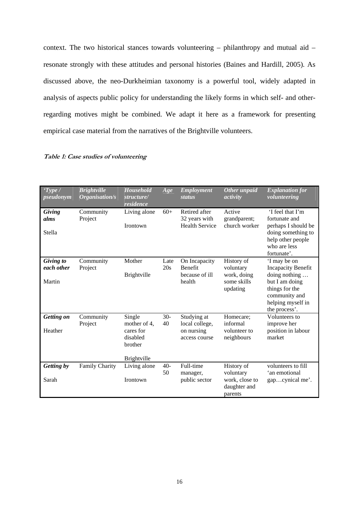context. The two historical stances towards volunteering – philanthropy and mutual aid – resonate strongly with these attitudes and personal histories (Baines and Hardill, 2005)*.* As discussed above, the neo-Durkheimian taxonomy is a powerful tool, widely adapted in analysis of aspects public policy for understanding the likely forms in which self- and otherregarding motives might be combined. We adapt it here as a framework for presenting empirical case material from the narratives of the Brightville volunteers.

#### **Table 1: Case studies of volunteering**

| Type /<br>pseudonym               | <b>Brightville</b><br>Organisation/s | <b>Household</b><br>structure/<br>residence                                      | Age         | <b>Employment</b><br><b>status</b>                           | Other unpaid<br>activity                                             | <b>Explanation for</b><br>volunteering                                                                                                                |
|-----------------------------------|--------------------------------------|----------------------------------------------------------------------------------|-------------|--------------------------------------------------------------|----------------------------------------------------------------------|-------------------------------------------------------------------------------------------------------------------------------------------------------|
| Giving<br>alms<br>Stella          | Community<br>Project                 | Living alone<br>Irontown                                                         | $60+$       | Retired after<br>32 years with<br><b>Health Service</b>      | Active<br>grandparent;<br>church worker                              | 'I feel that I'm<br>fortunate and<br>perhaps I should be<br>doing something to<br>help other people<br>who are less<br>fortunate'.                    |
| Giving to<br>each other<br>Martin | Community<br>Project                 | Mother<br><b>Brightville</b>                                                     | Late<br>20s | On Incapacity<br><b>Benefit</b><br>because of ill<br>health  | History of<br>voluntary<br>work, doing<br>some skills<br>updating    | 'I may be on<br><b>Incapacity Benefit</b><br>doing nothing<br>but I am doing<br>things for the<br>community and<br>helping myself in<br>the process'. |
| Getting on<br>Heather             | Community<br>Project                 | Single<br>mother of 4,<br>cares for<br>disabled<br>brother<br><b>Brightville</b> | $30-$<br>40 | Studying at<br>local college,<br>on nursing<br>access course | Homecare;<br>informal<br>volunteer to<br>neighbours                  | Volunteers to<br>improve her<br>position in labour<br>market                                                                                          |
| Getting by<br>Sarah               | <b>Family Charity</b>                | Living alone<br>Irontown                                                         | $40-$<br>50 | Full-time<br>manager,<br>public sector                       | History of<br>voluntary<br>work, close to<br>daughter and<br>parents | volunteers to fill<br>'an emotional<br>gapcynical me'.                                                                                                |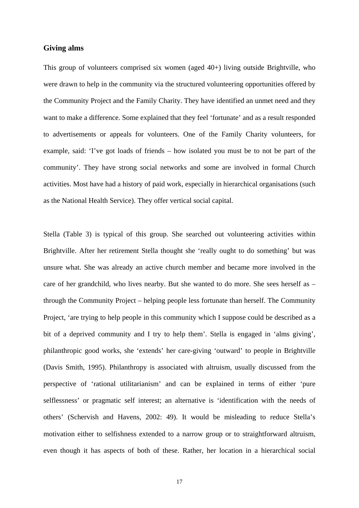# **Giving alms**

This group of volunteers comprised six women (aged 40+) living outside Brightville, who were drawn to help in the community via the structured volunteering opportunities offered by the Community Project and the Family Charity. They have identified an unmet need and they want to make a difference. Some explained that they feel 'fortunate' and as a result responded to advertisements or appeals for volunteers. One of the Family Charity volunteers, for example, said: 'I've got loads of friends – how isolated you must be to not be part of the community'. They have strong social networks and some are involved in formal Church activities. Most have had a history of paid work, especially in hierarchical organisations (such as the National Health Service). They offer vertical social capital.

Stella (Table 3) is typical of this group. She searched out volunteering activities within Brightville. After her retirement Stella thought she 'really ought to do something' but was unsure what. She was already an active church member and became more involved in the care of her grandchild, who lives nearby. But she wanted to do more. She sees herself as – through the Community Project – helping people less fortunate than herself. The Community Project, 'are trying to help people in this community which I suppose could be described as a bit of a deprived community and I try to help them'. Stella is engaged in 'alms giving', philanthropic good works, she 'extends' her care-giving 'outward' to people in Brightville (Davis Smith, 1995). Philanthropy is associated with altruism, usually discussed from the perspective of 'rational utilitarianism' and can be explained in terms of either 'pure selflessness' or pragmatic self interest; an alternative is 'identification with the needs of others' (Schervish and Havens, 2002: 49). It would be misleading to reduce Stella's motivation either to selfishness extended to a narrow group or to straightforward altruism, even though it has aspects of both of these. Rather, her location in a hierarchical social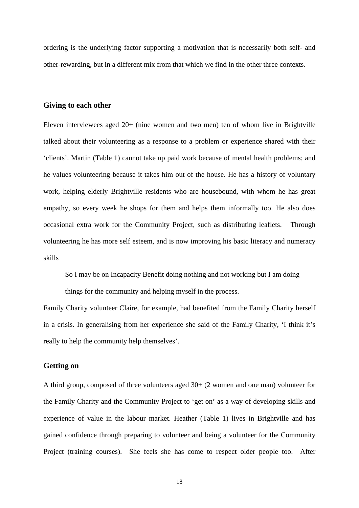ordering is the underlying factor supporting a motivation that is necessarily both self- and other-rewarding, but in a different mix from that which we find in the other three contexts.

## **Giving to each other**

Eleven interviewees aged 20+ (nine women and two men) ten of whom live in Brightville talked about their volunteering as a response to a problem or experience shared with their 'clients'. Martin (Table 1) cannot take up paid work because of mental health problems; and he values volunteering because it takes him out of the house. He has a history of voluntary work, helping elderly Brightville residents who are housebound, with whom he has great empathy, so every week he shops for them and helps them informally too. He also does occasional extra work for the Community Project, such as distributing leaflets. Through volunteering he has more self esteem, and is now improving his basic literacy and numeracy skills

So I may be on Incapacity Benefit doing nothing and not working but I am doing

things for the community and helping myself in the process.

Family Charity volunteer Claire, for example, had benefited from the Family Charity herself in a crisis. In generalising from her experience she said of the Family Charity, 'I think it's really to help the community help themselves'.

### **Getting on**

A third group, composed of three volunteers aged 30+ (2 women and one man) volunteer for the Family Charity and the Community Project to 'get on' as a way of developing skills and experience of value in the labour market. Heather (Table 1) lives in Brightville and has gained confidence through preparing to volunteer and being a volunteer for the Community Project (training courses). She feels she has come to respect older people too. After

18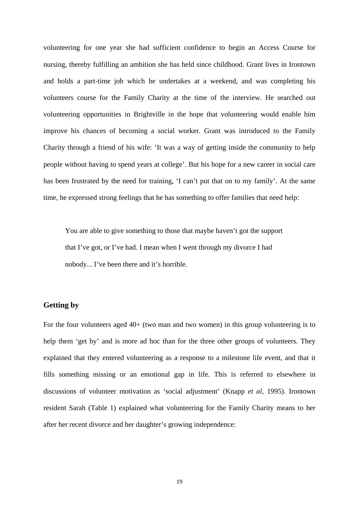volunteering for one year she had sufficient confidence to begin an Access Course for nursing, thereby fulfilling an ambition she has held since childhood. Grant lives in Irontown and holds a part-time job which he undertakes at a weekend, and was completing his volunteers course for the Family Charity at the time of the interview. He searched out volunteering opportunities in Brightville in the hope that volunteering would enable him improve his chances of becoming a social worker. Grant was introduced to the Family Charity through a friend of his wife: 'It was a way of getting inside the community to help people without having to spend years at college'. But his hope for a new career in social care has been frustrated by the need for training, 'I can't put that on to my family'. At the same time, he expressed strong feelings that he has something to offer families that need help:

You are able to give something to those that maybe haven't got the support that I've got, or I've had. I mean when I went through my divorce I had nobody... I've been there and it's horrible.

## **Getting by**

For the four volunteers aged 40+ (two man and two women) in this group volunteering is to help them 'get by' and is more ad hoc than for the three other groups of volunteers. They explained that they entered volunteering as a response to a milestone life event, and that it fills something missing or an emotional gap in life. This is referred to elsewhere in discussions of volunteer motivation as 'social adjustment' (Knapp *et al*, 1995). Irontown resident Sarah (Table 1) explained what volunteering for the Family Charity means to her after her recent divorce and her daughter's growing independence: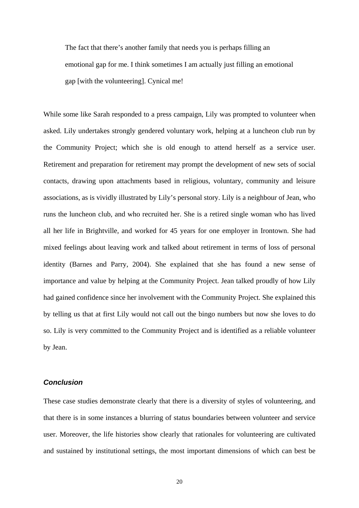The fact that there's another family that needs you is perhaps filling an emotional gap for me. I think sometimes I am actually just filling an emotional gap [with the volunteering]. Cynical me!

While some like Sarah responded to a press campaign, Lily was prompted to volunteer when asked. Lily undertakes strongly gendered voluntary work, helping at a luncheon club run by the Community Project; which she is old enough to attend herself as a service user. Retirement and preparation for retirement may prompt the development of new sets of social contacts, drawing upon attachments based in religious, voluntary, community and leisure associations, as is vividly illustrated by Lily's personal story. Lily is a neighbour of Jean, who runs the luncheon club, and who recruited her. She is a retired single woman who has lived all her life in Brightville, and worked for 45 years for one employer in Irontown. She had mixed feelings about leaving work and talked about retirement in terms of loss of personal identity (Barnes and Parry, 2004). She explained that she has found a new sense of importance and value by helping at the Community Project. Jean talked proudly of how Lily had gained confidence since her involvement with the Community Project. She explained this by telling us that at first Lily would not call out the bingo numbers but now she loves to do so. Lily is very committed to the Community Project and is identified as a reliable volunteer by Jean.

# *Conclusion*

These case studies demonstrate clearly that there is a diversity of styles of volunteering, and that there is in some instances a blurring of status boundaries between volunteer and service user. Moreover, the life histories show clearly that rationales for volunteering are cultivated and sustained by institutional settings, the most important dimensions of which can best be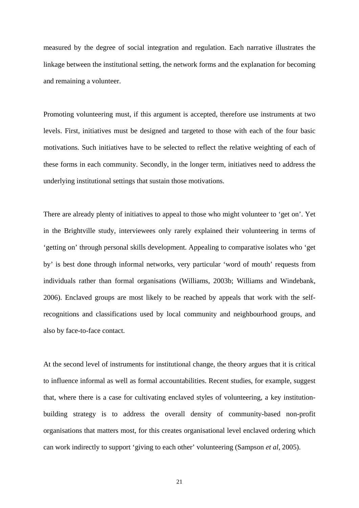measured by the degree of social integration and regulation. Each narrative illustrates the linkage between the institutional setting, the network forms and the explanation for becoming and remaining a volunteer.

Promoting volunteering must, if this argument is accepted, therefore use instruments at two levels. First, initiatives must be designed and targeted to those with each of the four basic motivations. Such initiatives have to be selected to reflect the relative weighting of each of these forms in each community. Secondly, in the longer term, initiatives need to address the underlying institutional settings that sustain those motivations.

There are already plenty of initiatives to appeal to those who might volunteer to 'get on'. Yet in the Brightville study, interviewees only rarely explained their volunteering in terms of 'getting on' through personal skills development. Appealing to comparative isolates who 'get by' is best done through informal networks, very particular 'word of mouth' requests from individuals rather than formal organisations (Williams, 2003b; Williams and Windebank, 2006). Enclaved groups are most likely to be reached by appeals that work with the selfrecognitions and classifications used by local community and neighbourhood groups, and also by face-to-face contact.

At the second level of instruments for institutional change, the theory argues that it is critical to influence informal as well as formal accountabilities. Recent studies, for example, suggest that, where there is a case for cultivating enclaved styles of volunteering, a key institutionbuilding strategy is to address the overall density of community-based non-profit organisations that matters most, for this creates organisational level enclaved ordering which can work indirectly to support 'giving to each other' volunteering (Sampson *et al*, 2005).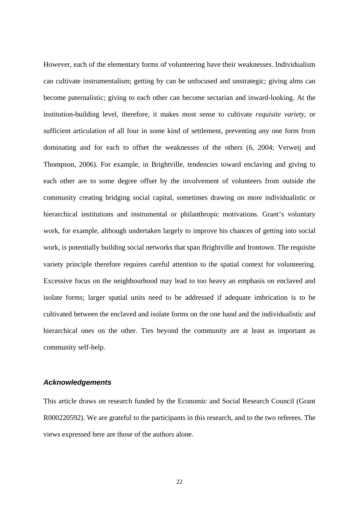However, each of the elementary forms of volunteering have their weaknesses. Individualism can cultivate instrumentalism; getting by can be unfocused and unstrategic; giving alms can become paternalistic; giving to each other can become sectarian and inward-looking. At the institution-building level, therefore, it makes most sense to cultivate *requisite variety*, or sufficient articulation of all four in some kind of settlement, preventing any one form from dominating and for each to offset the weaknesses of the others (6, 2004; Verweij and Thompson, 2006). For example, in Brightville, tendencies toward enclaving and giving to each other are to some degree offset by the involvement of volunteers from outside the community creating bridging social capital, sometimes drawing on more individualistic or hierarchical institutions and instrumental or philanthropic motivations. Grant's voluntary work, for example, although undertaken largely to improve his chances of getting into social work, is potentially building social networks that span Brightville and Irontown. The requisite variety principle therefore requires careful attention to the spatial context for volunteering. Excessive focus on the neighbourhood may lead to too heavy an emphasis on enclaved and isolate forms; larger spatial units need to be addressed if adequate imbrication is to be cultivated between the enclaved and isolate forms on the one hand and the individualistic and hierarchical ones on the other. Ties beyond the community are at least as important as community self-help.

#### *Acknowledgements*

This article draws on research funded by the Economic and Social Research Council (Grant R000220592). We are grateful to the participants in this research, and to the two referees. The views expressed here are those of the authors alone.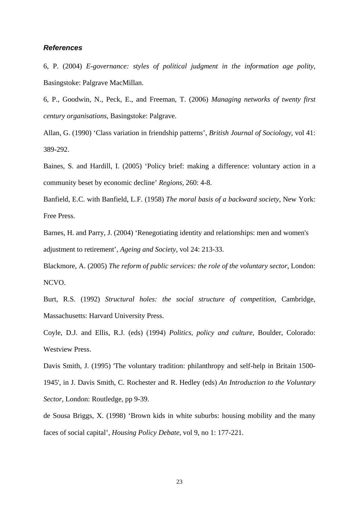#### *References*

6, P. (2004) *E*-*governance: styles of political judgment in the information age polity*, Basingstoke: Palgrave MacMillan.

6, P., Goodwin, N., Peck, E., and Freeman, T. (2006) *Managing networks of twenty first century organisations*, Basingstoke: Palgrave.

Allan, G. (1990) 'Class variation in friendship patterns', *British Journal of Sociology*, vol 41: 389-292.

Baines, S. and Hardill, I. (2005) 'Policy brief: making a difference: voluntary action in a community beset by economic decline' *Regions,* 260: 4-8.

Banfield, E.C. with Banfield, L.F. (1958) *The moral basis of a backward society*, New York: Free Press.

Barnes, H. and Parry, J. (2004) 'Renegotiating identity and relationships: men and women's adjustment to retirement', *Ageing and Society*, vol 24: 213-33.

Blackmore, A. (2005) *The reform of public services: the role of the voluntary sector*, London: NCVO.

Burt, R.S. (1992) *Structural holes: the social structure of competition*, Cambridge, Massachusetts: Harvard University Press.

Coyle, D.J. and Ellis, R.J. (eds) (1994) *Politics, policy and culture*, Boulder, Colorado: Westview Press.

Davis Smith, J. (1995) 'The voluntary tradition: philanthropy and self-help in Britain 1500- 1945', in J. Davis Smith, C. Rochester and R. Hedley (eds) *An Introduction to the Voluntary Sector*, London: Routledge, pp 9-39.

de Sousa Briggs, X. (1998) 'Brown kids in white suburbs: housing mobility and the many faces of social capital', *Housing Policy Debate*, vol 9, no 1: 177-221.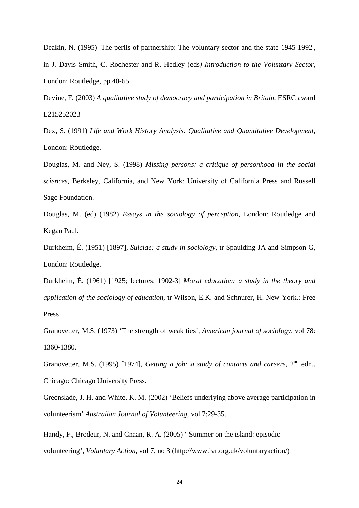Deakin, N. (1995) 'The perils of partnership: The voluntary sector and the state 1945-1992', in J. Davis Smith, C. Rochester and R. Hedley (eds*) Introduction to the Voluntary Sector*, London: Routledge, pp 40-65.

Devine, F. (2003) *A qualitative study of democracy and participation in Britain*, ESRC award L215252023

Dex, S. (1991) *Life and Work History Analysis: Qualitative and Quantitative Development*, London: Routledge.

Douglas, M. and Ney, S. (1998) *Missing persons: a critique of personhood in the social sciences*, Berkeley, California, and New York: University of California Press and Russell Sage Foundation.

Douglas, M. (ed) (1982) *Essays in the sociology of perception*, London: Routledge and Kegan Paul.

Durkheim, É. (1951) [1897], *Suicide: a study in sociology*, tr Spaulding JA and Simpson G, London: Routledge.

Durkheim, É. (1961) [1925; lectures: 1902-3] *Moral education: a study in the theory and application of the sociology of education*, tr Wilson, E.K. and Schnurer, H. New York.: Free Press

Granovetter, M.S. (1973) 'The strength of weak ties', *American journal of sociology*, vol 78: 1360-1380.

Granovetter, M.S. (1995) [1974], *Getting a job: a study of contacts and careers*,  $2^{nd}$  edn,. Chicago: Chicago University Press.

Greenslade, J. H. and White, K. M. (2002) 'Beliefs underlying above average participation in volunteerism' *Australian Journal of Volunteering,* vol 7:29-35.

Handy, F., Brodeur, N. and Cnaan, R. A. (2005) ' Summer on the island: episodic volunteering', *Voluntary Action*, vol 7, no 3 (http://www.ivr.org.uk/voluntaryaction/)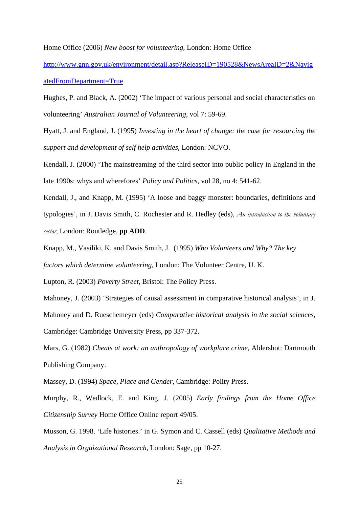Home Office (2006) *New boost for volunteering*, London: Home Office

[http://www.gnn.gov.uk/environment/detail.asp?ReleaseID=190528&NewsAreaID=2&Navig](http://www.gnn.gov.uk/environment/detail.asp?ReleaseID=190528&NewsAreaID=2&NavigatedFromDepartment=True) [atedFromDepartment=True](http://www.gnn.gov.uk/environment/detail.asp?ReleaseID=190528&NewsAreaID=2&NavigatedFromDepartment=True)

Hughes, P. and Black, A. (2002) 'The impact of various personal and social characteristics on volunteering' *Australian Journal of Volunteering*, vol 7: 59-69.

Hyatt, J. and England, J. (1995) *Investing in the heart of change: the case for resourcing the support and development of self help activities*, London: NCVO.

Kendall, J. (2000) 'The mainstreaming of the third sector into public policy in England in the late 1990s: whys and wherefores' *Policy and Politics,* vol 28, no 4: 541-62.

Kendall, J., and Knapp, M. (1995) 'A loose and baggy monster: boundaries, definitions and typologies', in J. Davis Smith, C. Rochester and R. Hedley (eds), *An introduction to the voluntary sector*, London: Routledge, **pp ADD**.

Knapp, M., Vasiliki, K. and Davis Smith, J. (1995) *Who Volunteers and Why? The key factors which determine volunteering*, London: The Volunteer Centre, U. K.

Lupton, R. (2003) *Poverty Street*, Bristol: The Policy Press.

Mahoney, J. (2003) 'Strategies of causal assessment in comparative historical analysis', in J. Mahoney and D. Rueschemeyer (eds) *Comparative historical analysis in the social sciences*, Cambridge: Cambridge University Press, pp 337-372.

Mars, G. (1982) *Cheats at work: an anthropology of workplace crime*, Aldershot: Dartmouth Publishing Company.

Massey, D. (1994) *Space, Place and Gender,* Cambridge: Polity Press.

Murphy, R., Wedlock, E. and King, J. (2005) *Early findings from the Home Office Citizenship Survey* Home Office Online report 49/05.

Musson, G. 1998. 'Life histories.' in G. Symon and C. Cassell (eds) *Qualitative Methods and Analysis in Orgaizational Research*, London: Sage, pp 10-27.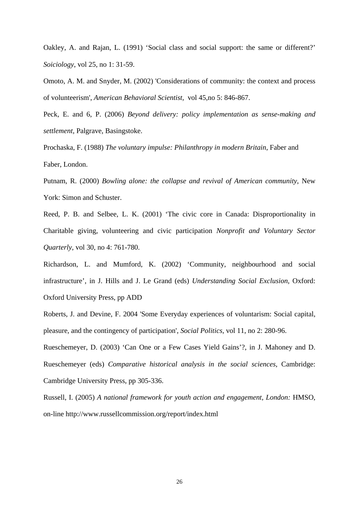Oakley, A. and Rajan, L. (1991) 'Social class and social support: the same or different?' *Soiciology*, vol 25, no 1: 31-59.

Omoto, A. M. and Snyder, M. (2002) 'Considerations of community: the context and process of volunteerism', *American Behavioral Scientist,* vol 45,no 5: 846-867.

Peck, E. and 6, P. (2006) *Beyond delivery: policy implementation as sense-making and settlement*, Palgrave, Basingstoke.

Prochaska, F. (1988) *The voluntary impulse: Philanthropy in modern Britain*, Faber and Faber, London.

Putnam, R. (2000) *Bowling alone: the collapse and revival of American community*, New York: Simon and Schuster.

Reed, P. B. and Selbee, L. K. (2001) 'The civic core in Canada: Disproportionality in Charitable giving, volunteering and civic participation *Nonprofit and Voluntary Sector Quarterly,* vol 30, no 4: 761-780.

Richardson, L. and Mumford, K. (2002) 'Community, neighbourhood and social infrastructure', in J. Hills and J. Le Grand (eds) *Understanding Social Exclusion*, Oxford: Oxford University Press, pp ADD

Roberts, J. and Devine, F. 2004 'Some Everyday experiences of voluntarism: Social capital, pleasure, and the contingency of participation', *Social Politics,* vol 11, no 2: 280-96.

Rueschemeyer, D. (2003) 'Can One or a Few Cases Yield Gains'?, in J. Mahoney and D. Rueschemeyer (eds) *Comparative historical analysis in the social sciences*, Cambridge: Cambridge University Press, pp 305-336.

Russell, I. (2005) *A national framework for youth action and engagement, London:* HMSO, on-line http://www.russellcommission.org/report/index.html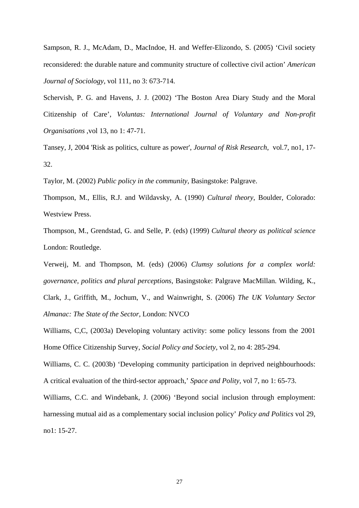Sampson, R. J., McAdam, D., MacIndoe, H. and Weffer-Elizondo, S. (2005) 'Civil society reconsidered: the durable nature and community structure of collective civil action' *American Journal of Sociology,* vol 111, no 3: 673-714.

Schervish, P. G. and Havens, J. J. (2002) 'The Boston Area Diary Study and the Moral Citizenship of Care', *Voluntas: International Journal of Voluntary and Non-profit Organisations* ,vol 13, no 1: 47-71.

Tansey, J, 2004 'Risk as politics, culture as power', *Journal of Risk Research*, vol.7, no1, 17- 32.

Taylor, M. (2002) *Public policy in the community*, Basingstoke: Palgrave.

Thompson, M., Ellis, R.J. and Wildavsky, A. (1990) *Cultural theory*, Boulder, Colorado: Westview Press.

Thompson, M., Grendstad, G. and Selle, P. (eds) (1999) *Cultural theory as political science* London: Routledge.

Verweij, M. and Thompson, M. (eds) (2006) *Clumsy solutions for a complex world: governance, politics and plural perceptions*, Basingstoke: Palgrave MacMillan. Wilding, K., Clark, J., Griffith, M., Jochum, V., and Wainwright, S. (2006) *The UK Voluntary Sector Almanac: The State of the Sector,* London: NVCO

Williams, C,C, (2003a) Developing voluntary activity: some policy lessons from the 2001 Home Office Citizenship Survey, *Social Policy and Society*, vol 2, no 4: 285-294.

Williams, C. C. (2003b) 'Developing community participation in deprived neighbourhoods: A critical evaluation of the third-sector approach,' *Space and Polity,* vol 7, no 1: 65-73.

Williams, C.C. and Windebank, J. (2006) 'Beyond social inclusion through employment: harnessing mutual aid as a complementary social inclusion policy' *Policy and Politics* vol 29, no1: 15-27.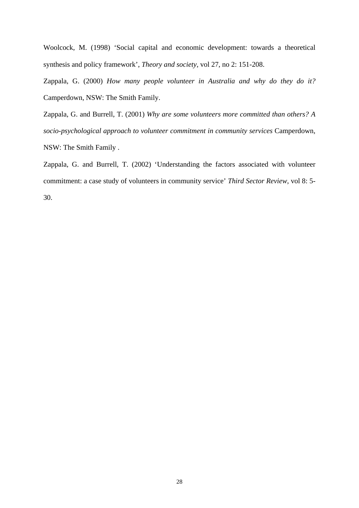Woolcock, M. (1998) 'Social capital and economic development: towards a theoretical synthesis and policy framework', *Theory and society,* vol 27, no 2: 151-208.

Zappala, G. (2000) *How many people volunteer in Australia and why do they do it?* Camperdown, NSW: The Smith Family.

Zappala, G. and Burrell, T. (2001) *Why are some volunteers more committed than others? A socio-psychological approach to volunteer commitment in community services* Camperdown, NSW: The Smith Family .

Zappala, G. and Burrell, T. (2002) 'Understanding the factors associated with volunteer commitment: a case study of volunteers in community service' *Third Sector Review*, vol 8: 5- 30.